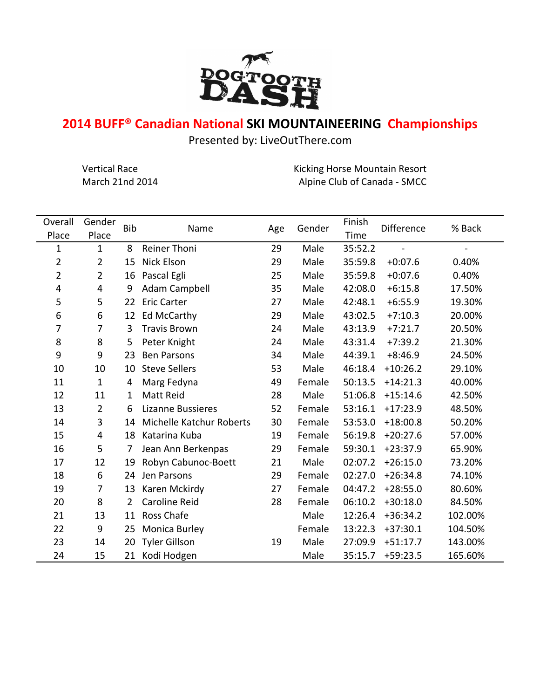

## **2014 BUFF® Canadian National SKI MOUNTAINEERING Championships**

Presented by: LiveOutThere.com

Vertical Race **Kicking Horse Mountain Resort** Kicking Horse Mountain Resort March 21nd 2014 **Alpine Club of Canada - SMCC** 

| Overall        | Gender         | <b>Bib</b>     | Name                     | Age | Gender | Finish  | Difference | % Back  |
|----------------|----------------|----------------|--------------------------|-----|--------|---------|------------|---------|
| Place          | Place          |                |                          |     |        | Time    |            |         |
| 1              | $\mathbf{1}$   | 8              | <b>Reiner Thoni</b>      | 29  | Male   | 35:52.2 |            |         |
| 2              | $\overline{2}$ | 15             | Nick Elson               | 29  | Male   | 35:59.8 | $+0:07.6$  | 0.40%   |
| $\overline{2}$ | $\overline{2}$ | 16             | Pascal Egli              | 25  | Male   | 35:59.8 | $+0:07.6$  | 0.40%   |
| 4              | 4              | 9              | Adam Campbell            | 35  | Male   | 42:08.0 | $+6:15.8$  | 17.50%  |
| 5              | 5              | 22             | <b>Eric Carter</b>       | 27  | Male   | 42:48.1 | $+6:55.9$  | 19.30%  |
| 6              | 6              | 12             | <b>Ed McCarthy</b>       | 29  | Male   | 43:02.5 | $+7:10.3$  | 20.00%  |
| 7              | 7              | 3              | <b>Travis Brown</b>      | 24  | Male   | 43:13.9 | $+7:21.7$  | 20.50%  |
| 8              | 8              | 5              | Peter Knight             | 24  | Male   | 43:31.4 | $+7:39.2$  | 21.30%  |
| 9              | 9              | 23             | <b>Ben Parsons</b>       | 34  | Male   | 44:39.1 | $+8:46.9$  | 24.50%  |
| 10             | 10             | 10             | <b>Steve Sellers</b>     | 53  | Male   | 46:18.4 | $+10:26.2$ | 29.10%  |
| 11             | $\mathbf{1}$   | 4              | Marg Fedyna              | 49  | Female | 50:13.5 | $+14:21.3$ | 40.00%  |
| 12             | 11             | 1              | <b>Matt Reid</b>         | 28  | Male   | 51:06.8 | $+15:14.6$ | 42.50%  |
| 13             | $\overline{2}$ | 6              | <b>Lizanne Bussieres</b> | 52  | Female | 53:16.1 | $+17:23.9$ | 48.50%  |
| 14             | 3              | 14             | Michelle Katchur Roberts | 30  | Female | 53:53.0 | $+18:00.8$ | 50.20%  |
| 15             | 4              | 18             | Katarina Kuba            | 19  | Female | 56:19.8 | $+20:27.6$ | 57.00%  |
| 16             | 5              | 7              | Jean Ann Berkenpas       | 29  | Female | 59:30.1 | $+23:37.9$ | 65.90%  |
| 17             | 12             | 19             | Robyn Cabunoc-Boett      | 21  | Male   | 02:07.2 | $+26:15.0$ | 73.20%  |
| 18             | 6              | 24             | Jen Parsons              | 29  | Female | 02:27.0 | $+26:34.8$ | 74.10%  |
| 19             | 7              | 13             | Karen Mckirdy            | 27  | Female | 04:47.2 | $+28:55.0$ | 80.60%  |
| 20             | 8              | $\overline{2}$ | <b>Caroline Reid</b>     | 28  | Female | 06:10.2 | $+30:18.0$ | 84.50%  |
| 21             | 13             | 11             | Ross Chafe               |     | Male   | 12:26.4 | $+36:34.2$ | 102.00% |
| 22             | 9              | 25             | Monica Burley            |     | Female | 13:22.3 | $+37:30.1$ | 104.50% |
| 23             | 14             | 20             | <b>Tyler Gillson</b>     | 19  | Male   | 27:09.9 | $+51:17.7$ | 143.00% |
| 24             | 15             | 21             | Kodi Hodgen              |     | Male   | 35:15.7 | $+59:23.5$ | 165.60% |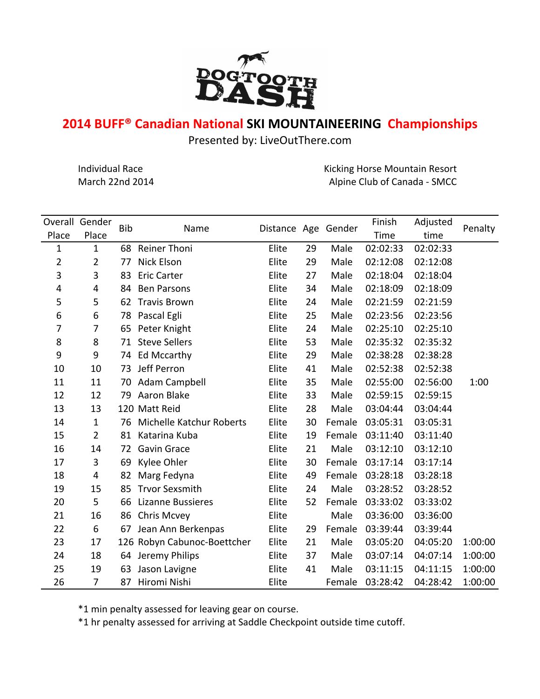

## **2014 BUFF® Canadian National SKI MOUNTAINEERING Championships**

Presented by: LiveOutThere.com

Individual Race **Kicking Horse Mountain Resort** Endividual Race March 22nd 2014 **Alpine Club of Canada** - SMCC

| Overall        | Gender         |            | Distance Age Gender         |       |    |        | Finish   | Adjusted |         |  |
|----------------|----------------|------------|-----------------------------|-------|----|--------|----------|----------|---------|--|
| Place          | Place          | <b>Bib</b> | Name                        |       |    |        | Time     | time     | Penalty |  |
| 1              | $\mathbf{1}$   | 68         | <b>Reiner Thoni</b>         | Elite | 29 | Male   | 02:02:33 | 02:02:33 |         |  |
| $\overline{2}$ | $\overline{2}$ | 77         | Nick Elson                  | Elite | 29 | Male   | 02:12:08 | 02:12:08 |         |  |
| 3              | 3              | 83         | <b>Eric Carter</b>          | Elite | 27 | Male   | 02:18:04 | 02:18:04 |         |  |
| 4              | 4              | 84         | <b>Ben Parsons</b>          | Elite | 34 | Male   | 02:18:09 | 02:18:09 |         |  |
| 5              | 5              | 62         | <b>Travis Brown</b>         | Elite | 24 | Male   | 02:21:59 | 02:21:59 |         |  |
| 6              | 6              | 78         | Pascal Egli                 | Elite | 25 | Male   | 02:23:56 | 02:23:56 |         |  |
| 7              | $\overline{7}$ | 65         | Peter Knight                | Elite | 24 | Male   | 02:25:10 | 02:25:10 |         |  |
| 8              | 8              | 71         | <b>Steve Sellers</b>        | Elite | 53 | Male   | 02:35:32 | 02:35:32 |         |  |
| 9              | 9              | 74         | <b>Ed Mccarthy</b>          | Elite | 29 | Male   | 02:38:28 | 02:38:28 |         |  |
| 10             | 10             | 73         | Jeff Perron                 | Elite | 41 | Male   | 02:52:38 | 02:52:38 |         |  |
| 11             | 11             | 70         | Adam Campbell               | Elite | 35 | Male   | 02:55:00 | 02:56:00 | 1:00    |  |
| 12             | 12             | 79         | Aaron Blake                 | Elite | 33 | Male   | 02:59:15 | 02:59:15 |         |  |
| 13             | 13             |            | 120 Matt Reid               | Elite | 28 | Male   | 03:04:44 | 03:04:44 |         |  |
| 14             | $\mathbf{1}$   | 76         | Michelle Katchur Roberts    | Elite | 30 | Female | 03:05:31 | 03:05:31 |         |  |
| 15             | $\overline{2}$ | 81         | Katarina Kuba               | Elite | 19 | Female | 03:11:40 | 03:11:40 |         |  |
| 16             | 14             | 72         | <b>Gavin Grace</b>          | Elite | 21 | Male   | 03:12:10 | 03:12:10 |         |  |
| 17             | 3              | 69         | Kylee Ohler                 | Elite | 30 | Female | 03:17:14 | 03:17:14 |         |  |
| 18             | 4              | 82         | Marg Fedyna                 | Elite | 49 | Female | 03:28:18 | 03:28:18 |         |  |
| 19             | 15             | 85         | <b>Trvor Sexsmith</b>       | Elite | 24 | Male   | 03:28:52 | 03:28:52 |         |  |
| 20             | 5              | 66         | <b>Lizanne Bussieres</b>    | Elite | 52 | Female | 03:33:02 | 03:33:02 |         |  |
| 21             | 16             | 86         | Chris Mcvey                 | Elite |    | Male   | 03:36:00 | 03:36:00 |         |  |
| 22             | 6              | 67         | Jean Ann Berkenpas          | Elite | 29 | Female | 03:39:44 | 03:39:44 |         |  |
| 23             | 17             |            | 126 Robyn Cabunoc-Boettcher | Elite | 21 | Male   | 03:05:20 | 04:05:20 | 1:00:00 |  |
| 24             | 18             | 64         | Jeremy Philips              | Elite | 37 | Male   | 03:07:14 | 04:07:14 | 1:00:00 |  |
| 25             | 19             | 63         | Jason Lavigne               | Elite | 41 | Male   | 03:11:15 | 04:11:15 | 1:00:00 |  |
| 26             | 7              | 87         | Hiromi Nishi                | Elite |    | Female | 03:28:42 | 04:28:42 | 1:00:00 |  |

\*1 min penalty assessed for leaving gear on course.

\*1 hr penalty assessed for arriving at Saddle Checkpoint outside time cutoff.